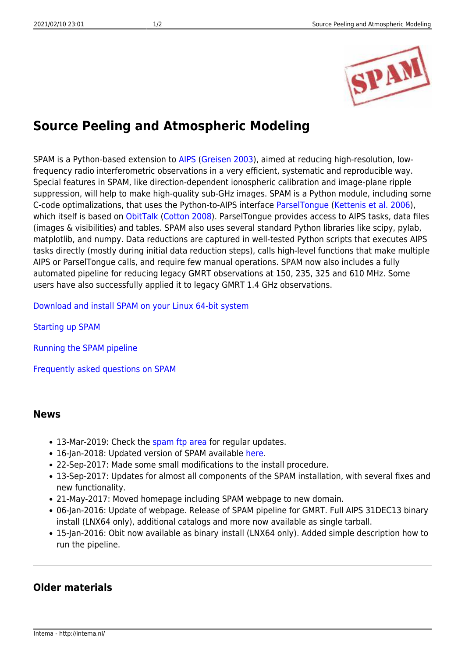

## **Source Peeling and Atmospheric Modeling**

SPAM is a Python-based extension to [AIPS](http://www.aips.nrao.edu/) ([Greisen 2003](http://adsabs.harvard.edu/abs/2003ASSL..285..109G)), aimed at reducing high-resolution, lowfrequency radio interferometric observations in a very efficient, systematic and reproducible way. Special features in SPAM, like direction-dependent ionospheric calibration and image-plane ripple suppression, will help to make high-quality sub-GHz images. SPAM is a Python module, including some C-code optimalizations, that uses the Python-to-AIPS interface [ParselTongue](http://www.jive.nl/jivewiki/doku.php?id=parseltongue:parseltongue) [\(Kettenis et al. 2006](http://adsabs.harvard.edu/abs/2006ASPC..351..497K)), which itself is based on [ObitTalk](http://www.cv.nrao.edu/~bcotton/Obit.html) ([Cotton 2008\)](http://adsabs.harvard.edu/abs/2008PASP..120..439C). ParselTongue provides access to AIPS tasks, data files (images & visibilities) and tables. SPAM also uses several standard Python libraries like scipy, pylab, matplotlib, and numpy. Data reductions are captured in well-tested Python scripts that executes AIPS tasks directly (mostly during initial data reduction steps), calls high-level functions that make multiple AIPS or ParselTongue calls, and require few manual operations. SPAM now also includes a fully automated pipeline for reducing legacy GMRT observations at 150, 235, 325 and 610 MHz. Some users have also successfully applied it to legacy GMRT 1.4 GHz observations.

[Download and install SPAM on your Linux 64-bit system](http://intema.nl/doku.php?id=huibintema:spam:install)

[Starting up SPAM](http://intema.nl/doku.php?id=huibintema:spam:startup)

[Running the SPAM pipeline](http://intema.nl/doku.php?id=huibintema:spam:pipeline)

[Frequently asked questions on SPAM](http://intema.nl/doku.php?id=huibintema:spam:faq)

## **News**

- 13-Mar-2019: Check the [spam ftp area](ftp://ftp.strw.leidenuniv.nl/pub/intema/spam/) for regular updates.
- 16-Jan-2018: Updated version of SPAM available [here.](ftp://ftp.strw.leidenuniv.nl/pub/intema/spam/spam_20180116.tgz)
- 22-Sep-2017: Made some small modifications to the install procedure.
- 13-Sep-2017: Updates for almost all components of the SPAM installation, with several fixes and new functionality.
- 21-May-2017: Moved homepage including SPAM webpage to new domain.
- 06-Jan-2016: Update of webpage. Release of SPAM pipeline for GMRT. Full AIPS 31DEC13 binary install (LNX64 only), additional catalogs and more now available as single tarball.
- 15-Jan-2016: Obit now available as binary install (LNX64 only). Added simple description how to run the pipeline.

## **Older materials**